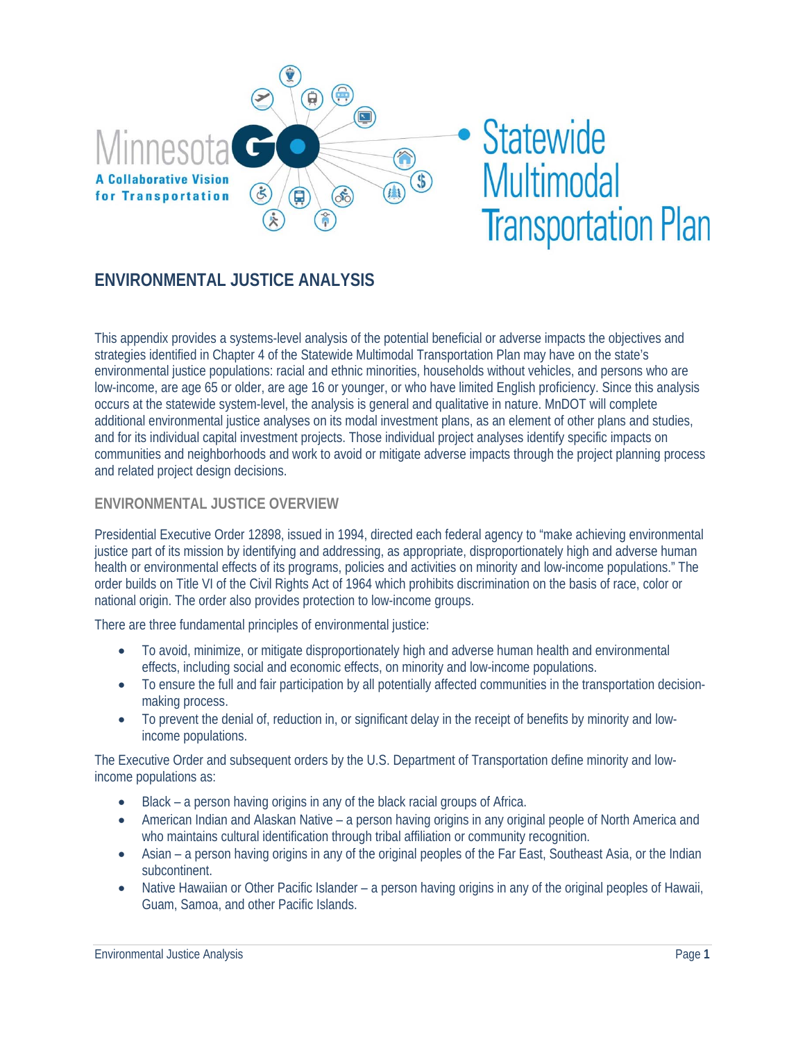

# • Statewide **Multimodal Transportation Plan**

# **ENVIRONMENTAL JUSTICE ANALYSIS**

This appendix provides a systems-level analysis of the potential beneficial or adverse impacts the objectives and strategies identified in Chapter 4 of the Statewide Multimodal Transportation Plan may have on the state's environmental justice populations: racial and ethnic minorities, households without vehicles, and persons who are low-income, are age 65 or older, are age 16 or younger, or who have limited English proficiency. Since this analysis occurs at the statewide system-level, the analysis is general and qualitative in nature. MnDOT will complete additional environmental justice analyses on its modal investment plans, as an element of other plans and studies, and for its individual capital investment projects. Those individual project analyses identify specific impacts on communities and neighborhoods and work to avoid or mitigate adverse impacts through the project planning process and related project design decisions.

#### **ENVIRONMENTAL JUSTICE OVERVIEW**

Presidential Executive Order 12898, issued in 1994, directed each federal agency to "make achieving environmental justice part of its mission by identifying and addressing, as appropriate, disproportionately high and adverse human health or environmental effects of its programs, policies and activities on minority and low-income populations." The order builds on Title VI of the Civil Rights Act of 1964 which prohibits discrimination on the basis of race, color or national origin. The order also provides protection to low-income groups.

There are three fundamental principles of environmental justice:

- To avoid, minimize, or mitigate disproportionately high and adverse human health and environmental effects, including social and economic effects, on minority and low-income populations.
- To ensure the full and fair participation by all potentially affected communities in the transportation decisionmaking process.
- To prevent the denial of, reduction in, or significant delay in the receipt of benefits by minority and lowincome populations.

The Executive Order and subsequent orders by the U.S. Department of Transportation define minority and lowincome populations as:

- Black a person having origins in any of the black racial groups of Africa.
- American Indian and Alaskan Native a person having origins in any original people of North America and who maintains cultural identification through tribal affiliation or community recognition.
- Asian a person having origins in any of the original peoples of the Far East, Southeast Asia, or the Indian subcontinent.
- Native Hawaiian or Other Pacific Islander a person having origins in any of the original peoples of Hawaii, Guam, Samoa, and other Pacific Islands.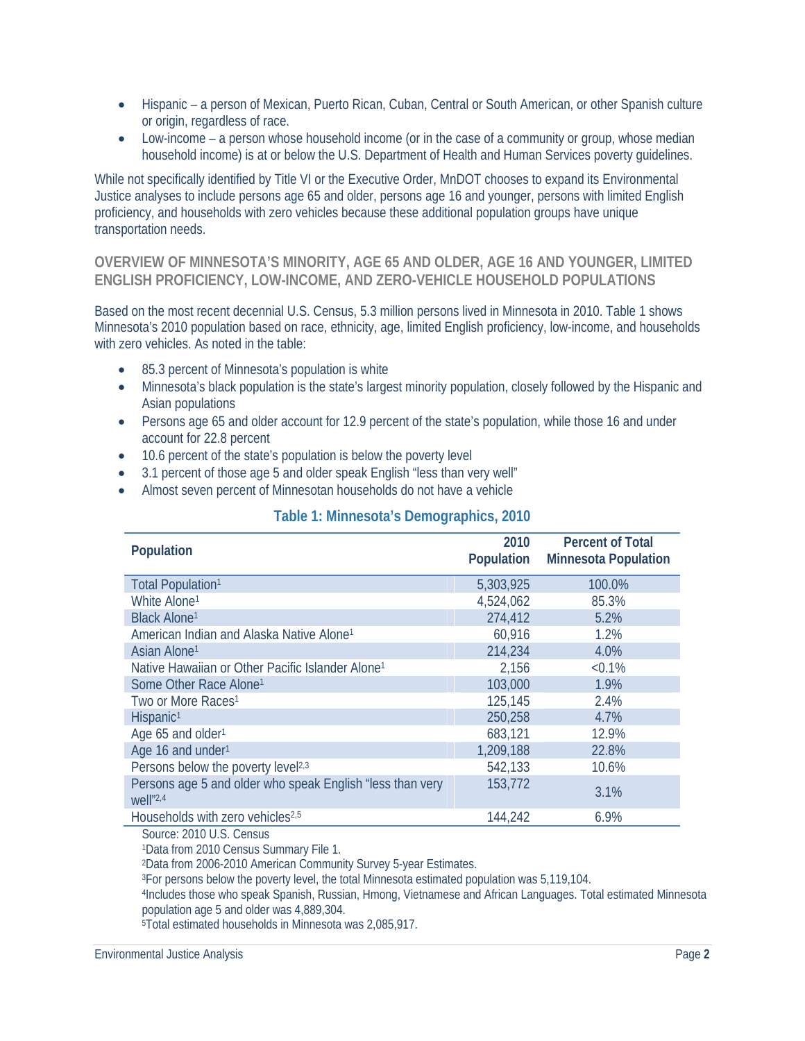- Hispanic a person of Mexican, Puerto Rican, Cuban, Central or South American, or other Spanish culture or origin, regardless of race.
- Low-income a person whose household income (or in the case of a community or group, whose median household income) is at or below the U.S. Department of Health and Human Services poverty guidelines.

While not specifically identified by Title VI or the Executive Order, MnDOT chooses to expand its Environmental Justice analyses to include persons age 65 and older, persons age 16 and younger, persons with limited English proficiency, and households with zero vehicles because these additional population groups have unique transportation needs.

**OVERVIEW OF MINNESOTA'S MINORITY, AGE 65 AND OLDER, AGE 16 AND YOUNGER, LIMITED ENGLISH PROFICIENCY, LOW-INCOME, AND ZERO-VEHICLE HOUSEHOLD POPULATIONS** 

Based on the most recent decennial U.S. Census, 5.3 million persons lived in Minnesota in 2010. Table 1 shows Minnesota's 2010 population based on race, ethnicity, age, limited English proficiency, low-income, and households with zero vehicles. As noted in the table:

- 85.3 percent of Minnesota's population is white
- Minnesota's black population is the state's largest minority population, closely followed by the Hispanic and Asian populations
- Persons age 65 and older account for 12.9 percent of the state's population, while those 16 and under account for 22.8 percent
- 10.6 percent of the state's population is below the poverty level
- 3.1 percent of those age 5 and older speak English "less than very well"
- Almost seven percent of Minnesotan households do not have a vehicle

|  | Table 1: Minnesota's Demographics, 2010 |  |
|--|-----------------------------------------|--|
|  |                                         |  |

| Population                                                                  | 2010<br>Population | <b>Percent of Total</b><br><b>Minnesota Population</b> |
|-----------------------------------------------------------------------------|--------------------|--------------------------------------------------------|
| Total Population <sup>1</sup>                                               | 5,303,925          | 100.0%                                                 |
| White Alone <sup>1</sup>                                                    | 4,524,062          | 85.3%                                                  |
| <b>Black Alone1</b>                                                         | 274,412            | 5.2%                                                   |
| American Indian and Alaska Native Alone <sup>1</sup>                        | 60,916             | 1.2%                                                   |
| Asian Alone <sup>1</sup>                                                    | 214,234            | 4.0%                                                   |
| Native Hawaiian or Other Pacific Islander Alone <sup>1</sup>                | 2,156              | $< 0.1\%$                                              |
| Some Other Race Alone <sup>1</sup>                                          | 103,000            | 1.9%                                                   |
| Two or More Races <sup>1</sup>                                              | 125,145            | 2.4%                                                   |
| Hispanic <sup>1</sup>                                                       | 250,258            | 4.7%                                                   |
| Age 65 and older <sup>1</sup>                                               | 683,121            | 12.9%                                                  |
| Age 16 and under <sup>1</sup>                                               | 1,209,188          | 22.8%                                                  |
| Persons below the poverty level <sup>2,3</sup>                              | 542,133            | 10.6%                                                  |
| Persons age 5 and older who speak English "less than very<br>$Well''^{2,4}$ | 153,772            | 3.1%                                                   |
| Households with zero vehicles <sup>2,5</sup>                                | 144,242            | 6.9%                                                   |

Source: 2010 U.S. Census

1Data from 2010 Census Summary File 1.

2Data from 2006-2010 American Community Survey 5-year Estimates.

3For persons below the poverty level, the total Minnesota estimated population was 5,119,104.

4Includes those who speak Spanish, Russian, Hmong, Vietnamese and African Languages. Total estimated Minnesota population age 5 and older was 4,889,304.

5Total estimated households in Minnesota was 2,085,917.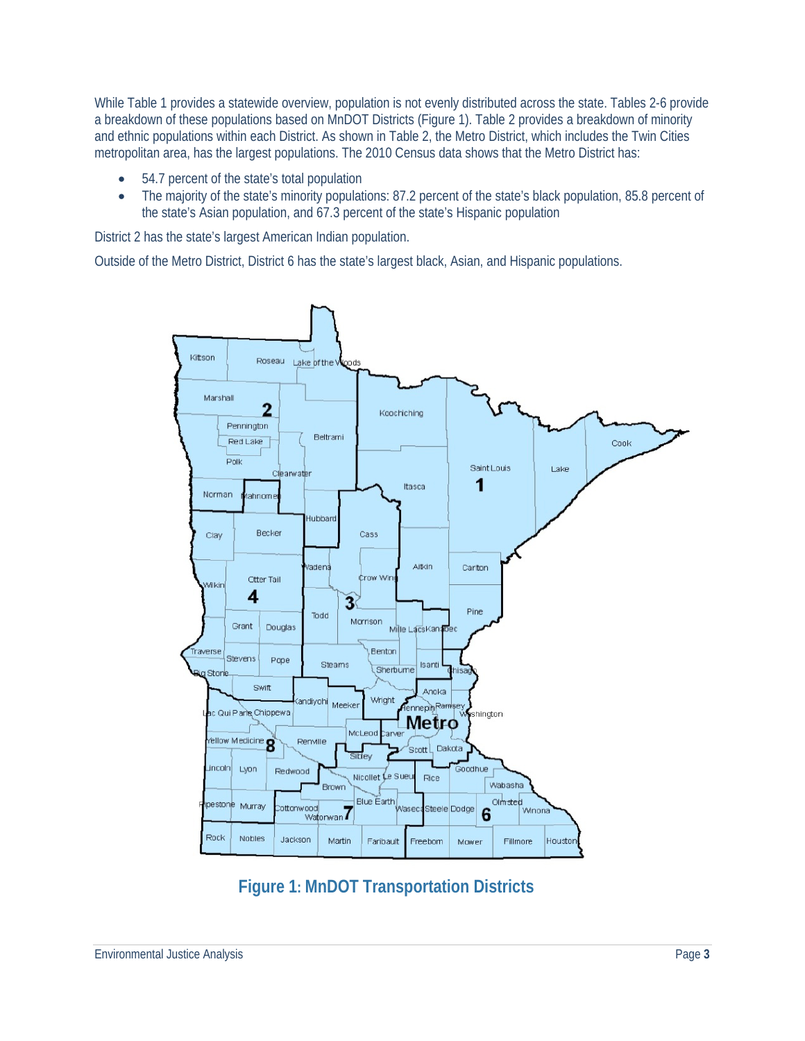While Table 1 provides a statewide overview, population is not evenly distributed across the state. Tables 2-6 provide a breakdown of these populations based on MnDOT Districts (Figure 1). Table 2 provides a breakdown of minority and ethnic populations within each District. As shown in Table 2, the Metro District, which includes the Twin Cities metropolitan area, has the largest populations. The 2010 Census data shows that the Metro District has:

- 54.7 percent of the state's total population
- The majority of the state's minority populations: 87.2 percent of the state's black population, 85.8 percent of the state's Asian population, and 67.3 percent of the state's Hispanic population

District 2 has the state's largest American Indian population.

Outside of the Metro District, District 6 has the state's largest black, Asian, and Hispanic populations.



 **Figure 1: MnDOT Transportation Districts**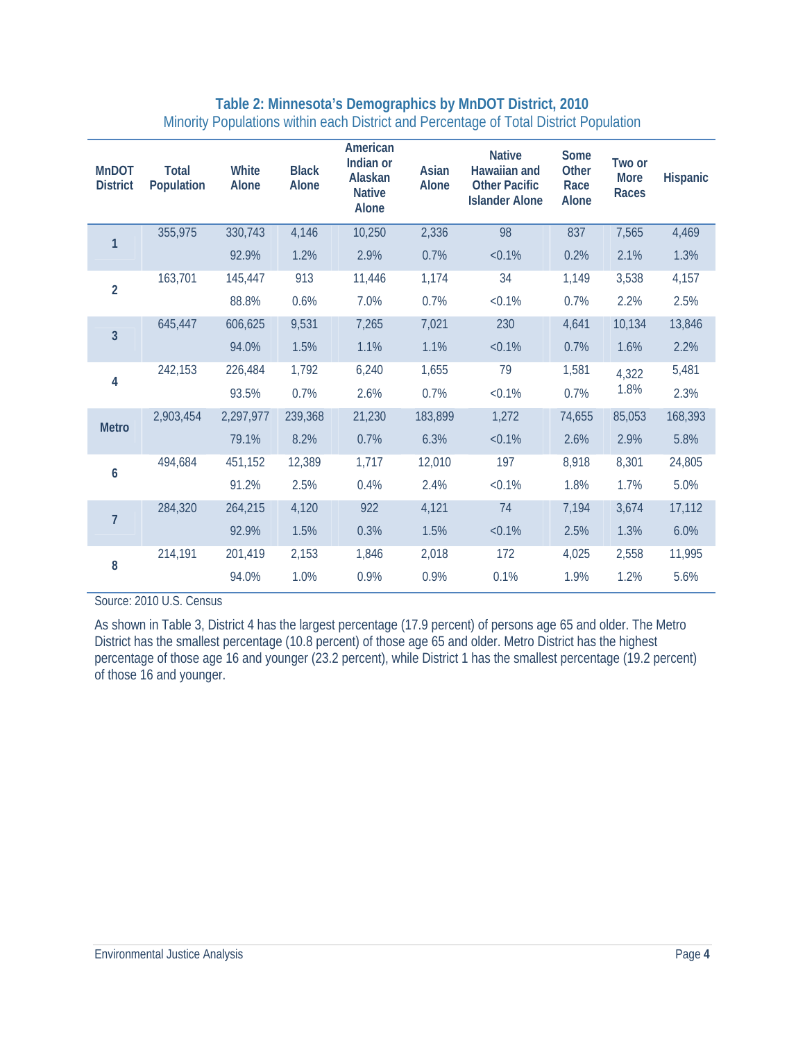### **Table 2: Minnesota's Demographics by MnDOT District, 2010**  Minority Populations within each District and Percentage of Total District Population

| <b>MnDOT</b><br><b>District</b> | <b>Total</b><br>Population | White<br>Alone | <b>Black</b><br>Alone | American<br>Indian or<br>Alaskan<br><b>Native</b><br>Alone | Asian<br>Alone | <b>Native</b><br>Hawaiian and<br><b>Other Pacific</b><br><b>Islander Alone</b> | Some<br>Other<br>Race<br>Alone | Two or<br><b>More</b><br>Races | Hispanic |
|---------------------------------|----------------------------|----------------|-----------------------|------------------------------------------------------------|----------------|--------------------------------------------------------------------------------|--------------------------------|--------------------------------|----------|
| 1                               | 355,975                    | 330,743        | 4,146                 | 10,250                                                     | 2,336          | 98                                                                             | 837                            | 7,565                          | 4,469    |
|                                 |                            | 92.9%          | 1.2%                  | 2.9%                                                       | 0.7%           | $< 0.1\%$                                                                      | 0.2%                           | 2.1%                           | 1.3%     |
| $\overline{2}$                  | 163,701                    | 145,447        | 913                   | 11,446                                                     | 1,174          | 34                                                                             | 1,149                          | 3,538                          | 4,157    |
|                                 |                            | 88.8%          | 0.6%                  | 7.0%                                                       | 0.7%           | $< 0.1\%$                                                                      | 0.7%                           | 2.2%                           | 2.5%     |
| $\overline{3}$                  | 645,447                    | 606,625        | 9,531                 | 7,265                                                      | 7,021          | 230                                                                            | 4,641                          | 10,134                         | 13,846   |
|                                 |                            | 94.0%          | 1.5%                  | 1.1%                                                       | 1.1%           | $< 0.1\%$                                                                      | 0.7%                           | 1.6%                           | 2.2%     |
| 4                               | 242,153                    | 226,484        | 1,792                 | 6,240                                                      | 1,655          | 79                                                                             | 1,581                          | 4,322                          | 5,481    |
|                                 |                            | 93.5%          | 0.7%                  | 2.6%                                                       | 0.7%           | $< 0.1\%$                                                                      | 0.7%                           | 1.8%                           | 2.3%     |
| <b>Metro</b>                    | 2,903,454                  | 2,297,977      | 239,368               | 21,230                                                     | 183,899        | 1,272                                                                          | 74,655                         | 85,053                         | 168,393  |
|                                 |                            | 79.1%          | 8.2%                  | 0.7%                                                       | 6.3%           | $< 0.1\%$                                                                      | 2.6%                           | 2.9%                           | 5.8%     |
| 6                               | 494,684                    | 451,152        | 12,389                | 1,717                                                      | 12,010         | 197                                                                            | 8,918                          | 8,301                          | 24,805   |
|                                 |                            | 91.2%          | 2.5%                  | 0.4%                                                       | 2.4%           | $< 0.1\%$                                                                      | 1.8%                           | 1.7%                           | 5.0%     |
| $\overline{7}$                  | 284,320                    | 264,215        | 4,120                 | 922                                                        | 4,121          | 74                                                                             | 7,194                          | 3,674                          | 17,112   |
|                                 |                            | 92.9%          | 1.5%                  | 0.3%                                                       | 1.5%           | $< 0.1\%$                                                                      | 2.5%                           | 1.3%                           | 6.0%     |
| 8                               | 214,191                    | 201,419        | 2,153                 | 1,846                                                      | 2,018          | 172                                                                            | 4,025                          | 2,558                          | 11,995   |
|                                 |                            | 94.0%          | 1.0%                  | 0.9%                                                       | 0.9%           | 0.1%                                                                           | 1.9%                           | 1.2%                           | 5.6%     |

Source: 2010 U.S. Census

As shown in Table 3, District 4 has the largest percentage (17.9 percent) of persons age 65 and older. The Metro District has the smallest percentage (10.8 percent) of those age 65 and older. Metro District has the highest percentage of those age 16 and younger (23.2 percent), while District 1 has the smallest percentage (19.2 percent) of those 16 and younger.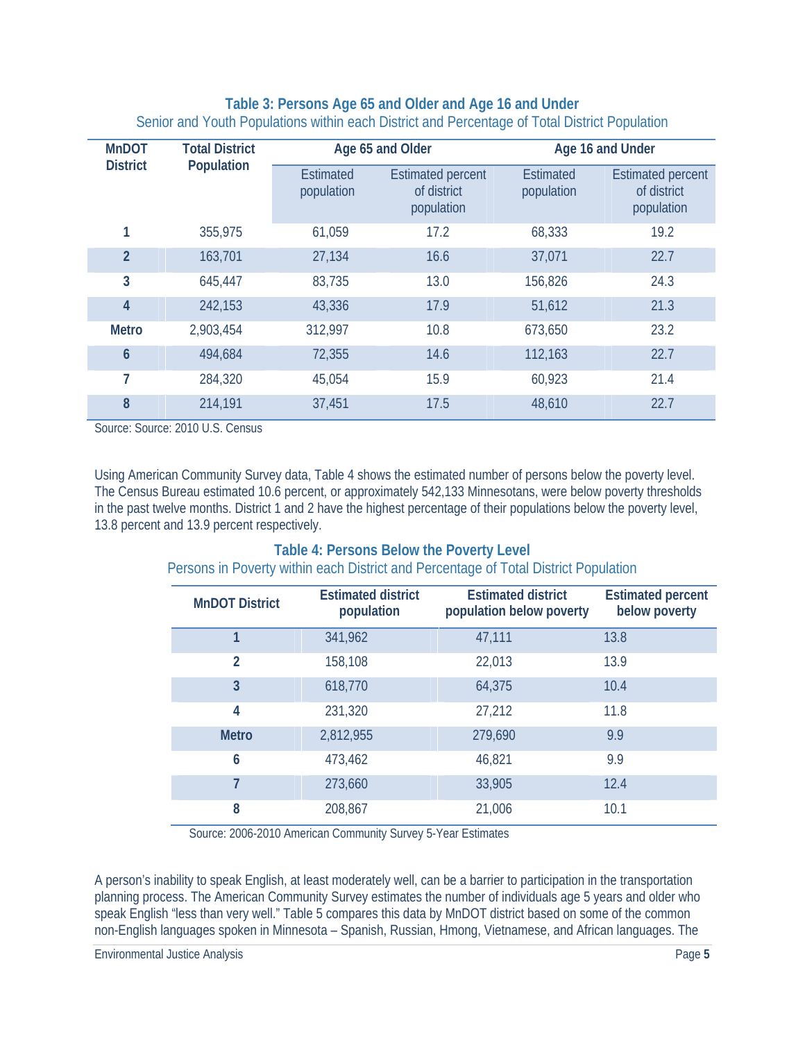#### **Table 3: Persons Age 65 and Older and Age 16 and Under**  Senior and Youth Populations within each District and Percentage of Total District Population

| <b>MnDOT</b>    | <b>Total District</b> |                                | Age 65 and Older                                      | Age 16 and Under               |                                                       |  |
|-----------------|-----------------------|--------------------------------|-------------------------------------------------------|--------------------------------|-------------------------------------------------------|--|
| <b>District</b> | Population            | <b>Estimated</b><br>population | <b>Estimated percent</b><br>of district<br>population | <b>Estimated</b><br>population | <b>Estimated percent</b><br>of district<br>population |  |
| 1               | 355,975               | 61,059                         | 17.2                                                  | 68,333                         | 19.2                                                  |  |
| $\overline{2}$  | 163,701               | 27,134                         | 16.6                                                  | 37,071                         | 22.7                                                  |  |
| 3               | 645,447               | 83,735                         | 13.0                                                  | 156,826                        | 24.3                                                  |  |
| $\overline{4}$  | 242,153               | 43,336                         | 17.9                                                  | 51,612                         | 21.3                                                  |  |
| <b>Metro</b>    | 2,903,454             | 312,997                        | 10.8                                                  | 673,650                        | 23.2                                                  |  |
| $\mathbf 6$     | 494,684               | 72,355                         | 14.6                                                  | 112,163                        | 22.7                                                  |  |
| 7               | 284,320               | 45,054                         | 15.9                                                  | 60,923                         | 21.4                                                  |  |
| 8               | 214,191               | 37,451                         | 17.5                                                  | 48,610                         | 22.7                                                  |  |

Source: Source: 2010 U.S. Census

Using American Community Survey data, Table 4 shows the estimated number of persons below the poverty level. The Census Bureau estimated 10.6 percent, or approximately 542,133 Minnesotans, were below poverty thresholds in the past twelve months. District 1 and 2 have the highest percentage of their populations below the poverty level, 13.8 percent and 13.9 percent respectively.

### **Table 4: Persons Below the Poverty Level**  Persons in Poverty within each District and Percentage of Total District Population

| <b>MnDOT District</b> | <b>Estimated district</b><br>population | <b>Estimated district</b><br>population below poverty | <b>Estimated percent</b><br>below poverty |
|-----------------------|-----------------------------------------|-------------------------------------------------------|-------------------------------------------|
| 1                     | 341,962                                 | 47,111                                                | 13.8                                      |
| $\mathfrak{p}$        | 158,108                                 | 22,013                                                | 13.9                                      |
| $\overline{3}$        | 618,770                                 | 64,375                                                | 10.4                                      |
| 4                     | 231,320                                 | 27,212                                                | 11.8                                      |
| <b>Metro</b>          | 2,812,955                               | 279,690                                               | 9.9                                       |
| 6                     | 473,462                                 | 46,821                                                | 9.9                                       |
| 7                     | 273,660                                 | 33,905                                                | 12.4                                      |
| 8                     | 208,867                                 | 21,006                                                | 10.1                                      |

Source: 2006-2010 American Community Survey 5-Year Estimates

A person's inability to speak English, at least moderately well, can be a barrier to participation in the transportation planning process. The American Community Survey estimates the number of individuals age 5 years and older who speak English "less than very well." Table 5 compares this data by MnDOT district based on some of the common non-English languages spoken in Minnesota – Spanish, Russian, Hmong, Vietnamese, and African languages. The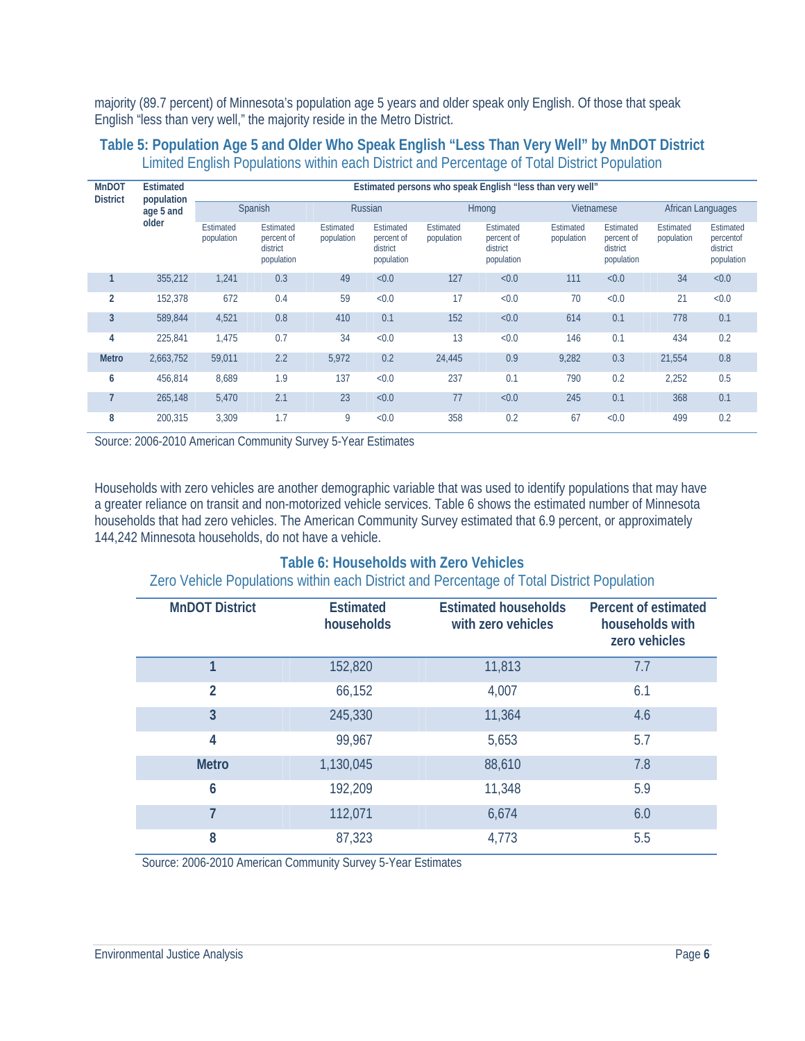majority (89.7 percent) of Minnesota's population age 5 years and older speak only English. Of those that speak English "less than very well," the majority reside in the Metro District.

#### **MnDOT District Estimated population age 5 and older Estimated persons who speak English "less than very well"**  Spanish Russian Hmong Vietnamese African Languages Estimated population Estimated percent of district population Estimated population Estimated percent of district population Estimated population Estimated percent of district population Estimated population Estimated percent of district population Estimated population Estimated percentof district population **1** 355,212 1,241 0.3 49 <0.0 127 <0.0 111 <0.0 34 <0.0 **2** 152,378 672 0.4 59 <0.0 17 <0.0 70 <0.0 21 <0.0 **3** 589,844 4,521 0.8 410 0.1 152 <0.0 614 0.1 778 0.1 **4** 225,841 1,475 0.7 34 <0.0 13 <0.0 146 0.1 434 0.2 **Metro** 2,663,752 59,011 2.2 5,972 0.2 24,445 0.9 9,282 0.3 21,554 0.8 **6** 456,814 8,689 1.9 137 <0.0 237 0.1 790 0.2 2,252 0.5 **7** 265,148 5,470 2.1 23 <0.0 77 <0.0 245 0.1 368 0.1 **8** 200,315 3,309 1.7 9 <0.0 358 0.2 67 <0.0 499 0.2

#### **Table 5: Population Age 5 and Older Who Speak English "Less Than Very Well" by MnDOT District**  Limited English Populations within each District and Percentage of Total District Population

Source: 2006-2010 American Community Survey 5-Year Estimates

Households with zero vehicles are another demographic variable that was used to identify populations that may have a greater reliance on transit and non-motorized vehicle services. Table 6 shows the estimated number of Minnesota households that had zero vehicles. The American Community Survey estimated that 6.9 percent, or approximately 144,242 Minnesota households, do not have a vehicle.

## **Table 6: Households with Zero Vehicles**

Zero Vehicle Populations within each District and Percentage of Total District Population

| <b>MnDOT District</b> | <b>Estimated</b><br>households | <b>Estimated households</b><br>with zero vehicles | Percent of estimated<br>households with<br>zero vehicles |
|-----------------------|--------------------------------|---------------------------------------------------|----------------------------------------------------------|
|                       | 152,820                        | 11,813                                            | 7.7                                                      |
| $\overline{2}$        | 66,152                         | 4,007                                             | 6.1                                                      |
| 3                     | 245,330                        | 11,364                                            | 4.6                                                      |
| 4                     | 99,967                         | 5,653                                             | 5.7                                                      |
| <b>Metro</b>          | 1,130,045                      | 88,610                                            | 7.8                                                      |
| 6                     | 192,209                        | 11,348                                            | 5.9                                                      |
|                       | 112,071                        | 6,674                                             | 6.0                                                      |
| 8                     | 87,323                         | 4,773                                             | 5.5                                                      |

Source: 2006-2010 American Community Survey 5-Year Estimates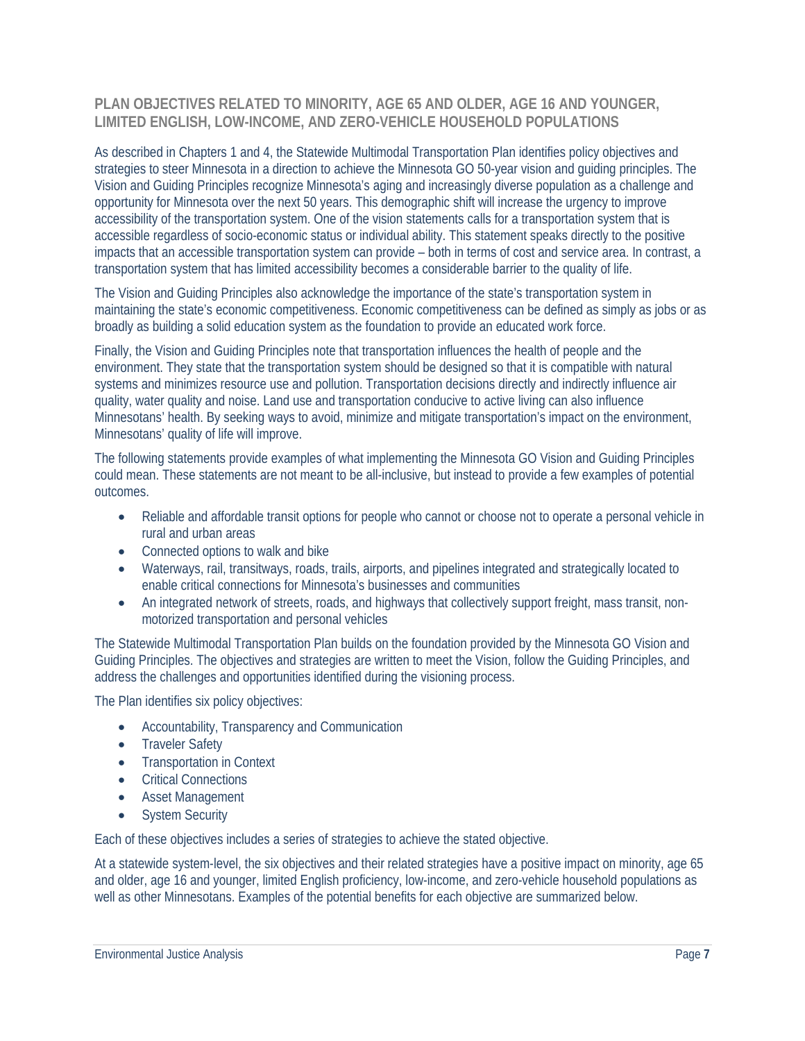#### **PLAN OBJECTIVES RELATED TO MINORITY, AGE 65 AND OLDER, AGE 16 AND YOUNGER, LIMITED ENGLISH, LOW-INCOME, AND ZERO-VEHICLE HOUSEHOLD POPULATIONS**

As described in Chapters 1 and 4, the Statewide Multimodal Transportation Plan identifies policy objectives and strategies to steer Minnesota in a direction to achieve the Minnesota GO 50-year vision and guiding principles. The Vision and Guiding Principles recognize Minnesota's aging and increasingly diverse population as a challenge and opportunity for Minnesota over the next 50 years. This demographic shift will increase the urgency to improve accessibility of the transportation system. One of the vision statements calls for a transportation system that is accessible regardless of socio-economic status or individual ability. This statement speaks directly to the positive impacts that an accessible transportation system can provide – both in terms of cost and service area. In contrast, a transportation system that has limited accessibility becomes a considerable barrier to the quality of life.

The Vision and Guiding Principles also acknowledge the importance of the state's transportation system in maintaining the state's economic competitiveness. Economic competitiveness can be defined as simply as jobs or as broadly as building a solid education system as the foundation to provide an educated work force.

Finally, the Vision and Guiding Principles note that transportation influences the health of people and the environment. They state that the transportation system should be designed so that it is compatible with natural systems and minimizes resource use and pollution. Transportation decisions directly and indirectly influence air quality, water quality and noise. Land use and transportation conducive to active living can also influence Minnesotans' health. By seeking ways to avoid, minimize and mitigate transportation's impact on the environment, Minnesotans' quality of life will improve.

The following statements provide examples of what implementing the Minnesota GO Vision and Guiding Principles could mean. These statements are not meant to be all-inclusive, but instead to provide a few examples of potential outcomes.

- Reliable and affordable transit options for people who cannot or choose not to operate a personal vehicle in rural and urban areas
- Connected options to walk and bike
- Waterways, rail, transitways, roads, trails, airports, and pipelines integrated and strategically located to enable critical connections for Minnesota's businesses and communities
- An integrated network of streets, roads, and highways that collectively support freight, mass transit, nonmotorized transportation and personal vehicles

The Statewide Multimodal Transportation Plan builds on the foundation provided by the Minnesota GO Vision and Guiding Principles. The objectives and strategies are written to meet the Vision, follow the Guiding Principles, and address the challenges and opportunities identified during the visioning process.

The Plan identifies six policy objectives:

- Accountability, Transparency and Communication
- Traveler Safety
- Transportation in Context
- Critical Connections
- **•** Asset Management
- System Security

Each of these objectives includes a series of strategies to achieve the stated objective.

At a statewide system-level, the six objectives and their related strategies have a positive impact on minority, age 65 and older, age 16 and younger, limited English proficiency, low-income, and zero-vehicle household populations as well as other Minnesotans. Examples of the potential benefits for each objective are summarized below.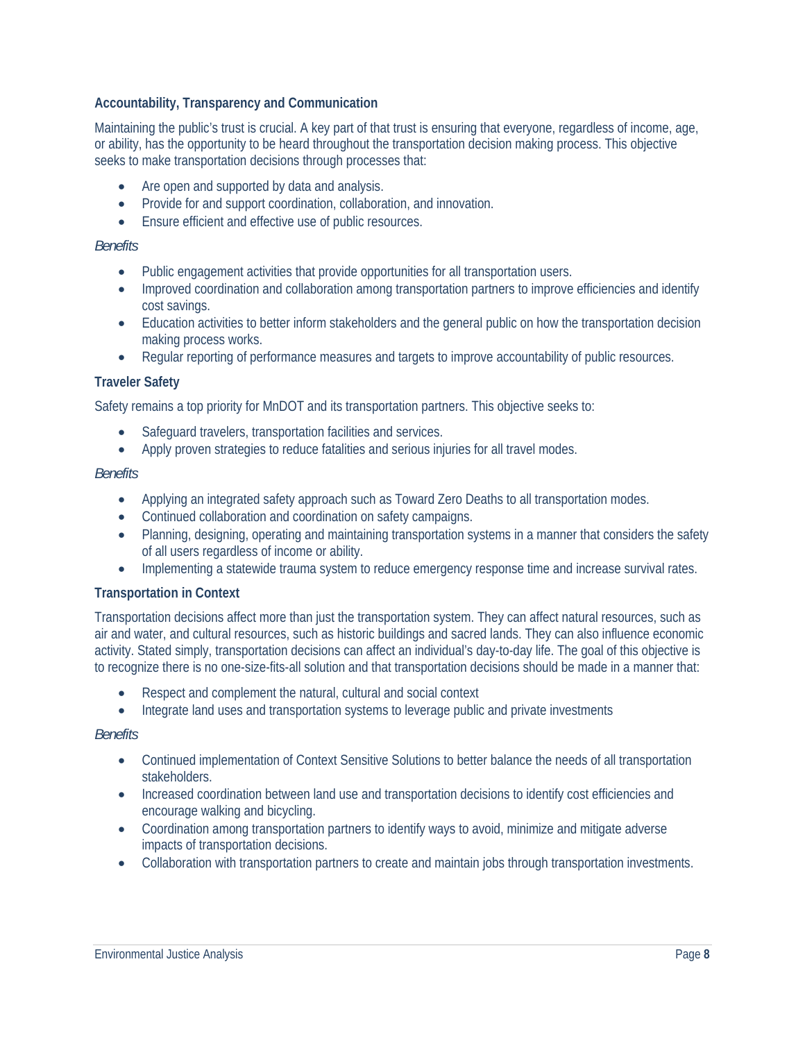#### **Accountability, Transparency and Communication**

Maintaining the public's trust is crucial. A key part of that trust is ensuring that everyone, regardless of income, age, or ability, has the opportunity to be heard throughout the transportation decision making process. This objective seeks to make transportation decisions through processes that:

- Are open and supported by data and analysis.
- Provide for and support coordination, collaboration, and innovation.
- Ensure efficient and effective use of public resources.

#### *Benefits*

- Public engagement activities that provide opportunities for all transportation users.
- Improved coordination and collaboration among transportation partners to improve efficiencies and identify cost savings.
- Education activities to better inform stakeholders and the general public on how the transportation decision making process works.
- Regular reporting of performance measures and targets to improve accountability of public resources.

#### **Traveler Safety**

Safety remains a top priority for MnDOT and its transportation partners. This objective seeks to:

- Safeguard travelers, transportation facilities and services.
- Apply proven strategies to reduce fatalities and serious injuries for all travel modes.

#### *Benefits*

- Applying an integrated safety approach such as Toward Zero Deaths to all transportation modes.
- Continued collaboration and coordination on safety campaigns.
- Planning, designing, operating and maintaining transportation systems in a manner that considers the safety of all users regardless of income or ability.
- Implementing a statewide trauma system to reduce emergency response time and increase survival rates.

#### **Transportation in Context**

Transportation decisions affect more than just the transportation system. They can affect natural resources, such as air and water, and cultural resources, such as historic buildings and sacred lands. They can also influence economic activity. Stated simply, transportation decisions can affect an individual's day-to-day life. The goal of this objective is to recognize there is no one-size-fits-all solution and that transportation decisions should be made in a manner that:

- Respect and complement the natural, cultural and social context
- Integrate land uses and transportation systems to leverage public and private investments

#### *Benefits*

- Continued implementation of Context Sensitive Solutions to better balance the needs of all transportation stakeholders.
- Increased coordination between land use and transportation decisions to identify cost efficiencies and encourage walking and bicycling.
- Coordination among transportation partners to identify ways to avoid, minimize and mitigate adverse impacts of transportation decisions.
- Collaboration with transportation partners to create and maintain jobs through transportation investments.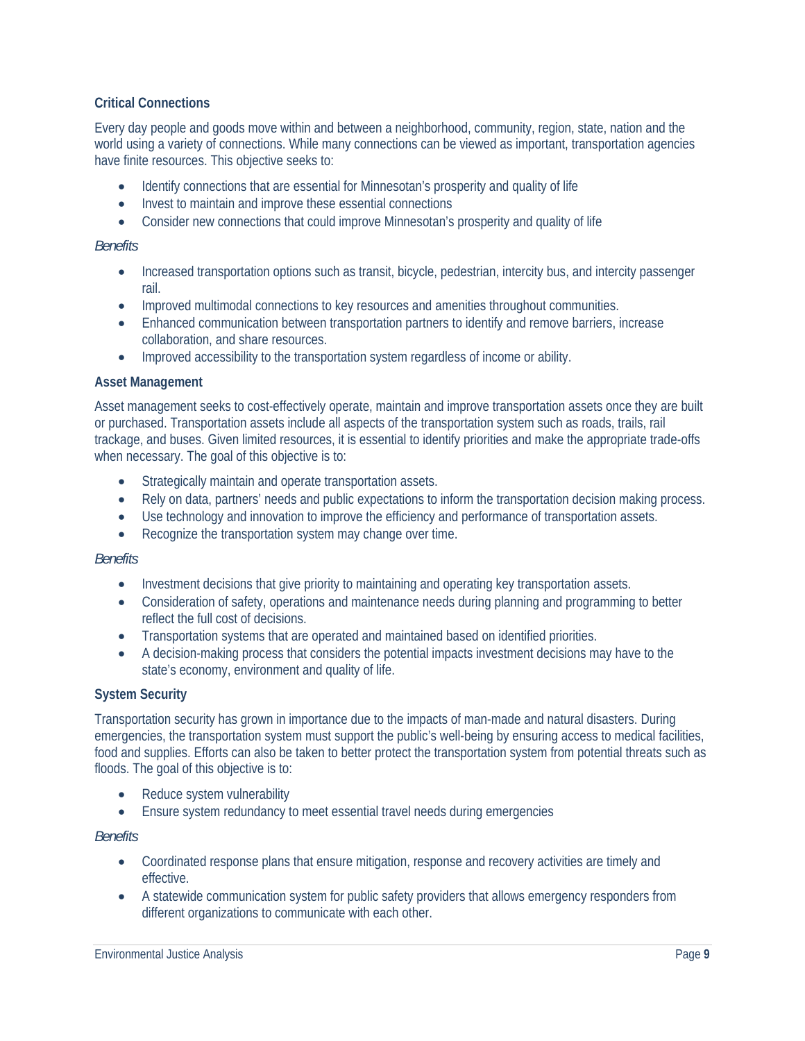#### **Critical Connections**

Every day people and goods move within and between a neighborhood, community, region, state, nation and the world using a variety of connections. While many connections can be viewed as important, transportation agencies have finite resources. This objective seeks to:

- Identify connections that are essential for Minnesotan's prosperity and quality of life
- Invest to maintain and improve these essential connections
- Consider new connections that could improve Minnesotan's prosperity and quality of life

#### *Benefits*

- Increased transportation options such as transit, bicycle, pedestrian, intercity bus, and intercity passenger rail.
- Improved multimodal connections to key resources and amenities throughout communities.
- Enhanced communication between transportation partners to identify and remove barriers, increase collaboration, and share resources.
- Improved accessibility to the transportation system regardless of income or ability.

#### **Asset Management**

Asset management seeks to cost-effectively operate, maintain and improve transportation assets once they are built or purchased. Transportation assets include all aspects of the transportation system such as roads, trails, rail trackage, and buses. Given limited resources, it is essential to identify priorities and make the appropriate trade-offs when necessary. The goal of this objective is to:

- Strategically maintain and operate transportation assets.
- Rely on data, partners' needs and public expectations to inform the transportation decision making process.
- Use technology and innovation to improve the efficiency and performance of transportation assets.
- Recognize the transportation system may change over time.

#### *Benefits*

- Investment decisions that give priority to maintaining and operating key transportation assets.
- Consideration of safety, operations and maintenance needs during planning and programming to better reflect the full cost of decisions.
- Transportation systems that are operated and maintained based on identified priorities.
- A decision-making process that considers the potential impacts investment decisions may have to the state's economy, environment and quality of life.

#### **System Security**

Transportation security has grown in importance due to the impacts of man-made and natural disasters. During emergencies, the transportation system must support the public's well-being by ensuring access to medical facilities, food and supplies. Efforts can also be taken to better protect the transportation system from potential threats such as floods. The goal of this objective is to:

- Reduce system vulnerability
- Ensure system redundancy to meet essential travel needs during emergencies

#### *Benefits*

- Coordinated response plans that ensure mitigation, response and recovery activities are timely and effective.
- A statewide communication system for public safety providers that allows emergency responders from different organizations to communicate with each other.